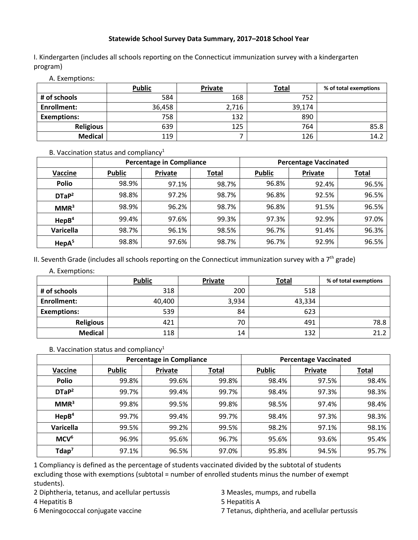## **Statewide School Survey Data Summary, 2017–2018 School Year**

I. Kindergarten (includes all schools reporting on the Connecticut immunization survey with a kindergarten program)

|                    | <b>Public</b> | <b>Private</b> | <b>Total</b> | % of total exemptions |
|--------------------|---------------|----------------|--------------|-----------------------|
| # of schools       | 584           | 168            | 752          |                       |
| <b>Enrollment:</b> | 36,458        | 2,716          | 39,174       |                       |
| <b>Exemptions:</b> | 758           | 132            | 890          |                       |
| <b>Religious</b>   | 639           | 125            | 764          | 85.8                  |
| <b>Medical</b>     | 119           |                | 126          | 14.2                  |

A. Exemptions:

## B. Vaccination status and compliancy<sup>1</sup>

|                   | <b>Percentage in Compliance</b> |         |              | <b>Percentage Vaccinated</b> |                |              |
|-------------------|---------------------------------|---------|--------------|------------------------------|----------------|--------------|
| Vaccine           | <b>Public</b>                   | Private | <u>Total</u> | <b>Public</b>                | <b>Private</b> | <b>Total</b> |
| <b>Polio</b>      | 98.9%                           | 97.1%   | 98.7%        | 96.8%                        | 92.4%          | 96.5%        |
| DTaP <sup>2</sup> | 98.8%                           | 97.2%   | 98.7%        | 96.8%                        | 92.5%          | 96.5%        |
| MMR <sup>3</sup>  | 98.9%                           | 96.2%   | 98.7%        | 96.8%                        | 91.5%          | 96.5%        |
| HepB <sup>4</sup> | 99.4%                           | 97.6%   | 99.3%        | 97.3%                        | 92.9%          | 97.0%        |
| Varicella         | 98.7%                           | 96.1%   | 98.5%        | 96.7%                        | 91.4%          | 96.3%        |
| $\text{HepA}^5$   | 98.8%                           | 97.6%   | 98.7%        | 96.7%                        | 92.9%          | 96.5%        |

II. Seventh Grade (includes all schools reporting on the Connecticut immunization survey with a  $7<sup>th</sup>$  grade)

A. Exemptions:

|                    | <b>Public</b> | Private | <b>Total</b> | % of total exemptions |
|--------------------|---------------|---------|--------------|-----------------------|
| # of schools       | 318           | 200     | 518          |                       |
| Enrollment:        | 40,400        | 3,934   | 43,334       |                       |
| <b>Exemptions:</b> | 539           | 84      | 623          |                       |
| <b>Religious</b>   | 421           | 70      | 491          | 78.8                  |
| <b>Medical</b>     | 118           | 14      | 132          | 21.2                  |

B. Vaccination status and compliancy<sup>1</sup>

|                      | <b>Percentage in Compliance</b> |         |              | <b>Percentage Vaccinated</b> |         |              |
|----------------------|---------------------------------|---------|--------------|------------------------------|---------|--------------|
| Vaccine              | <b>Public</b>                   | Private | <b>Total</b> | <b>Public</b>                | Private | <b>Total</b> |
| <b>Polio</b>         | 99.8%                           | 99.6%   | 99.8%        | 98.4%                        | 97.5%   | 98.4%        |
| DTaP <sup>2</sup>    | 99.7%                           | 99.4%   | 99.7%        | 98.4%                        | 97.3%   | 98.3%        |
| MMR <sup>3</sup>     | 99.8%                           | 99.5%   | 99.8%        | 98.5%                        | 97.4%   | 98.4%        |
| HepB <sup>4</sup>    | 99.7%                           | 99.4%   | 99.7%        | 98.4%                        | 97.3%   | 98.3%        |
| Varicella            | 99.5%                           | 99.2%   | 99.5%        | 98.2%                        | 97.1%   | 98.1%        |
| MCV <sup>6</sup>     | 96.9%                           | 95.6%   | 96.7%        | 95.6%                        | 93.6%   | 95.4%        |
| $T$ dap <sup>7</sup> | 97.1%                           | 96.5%   | 97.0%        | 95.8%                        | 94.5%   | 95.7%        |

1 Compliancy is defined as the percentage of students vaccinated divided by the subtotal of students excluding those with exemptions (subtotal = number of enrolled students minus the number of exempt students).

- 2 Diphtheria, tetanus, and acellular pertussis 3 Measles, mumps, and rubella
- 
- 
- 
- 4 Hepatitis B 5 Hepatitis A
- 6 Meningococcal conjugate vaccine 7 Tetanus, diphtheria, and acellular pertussis